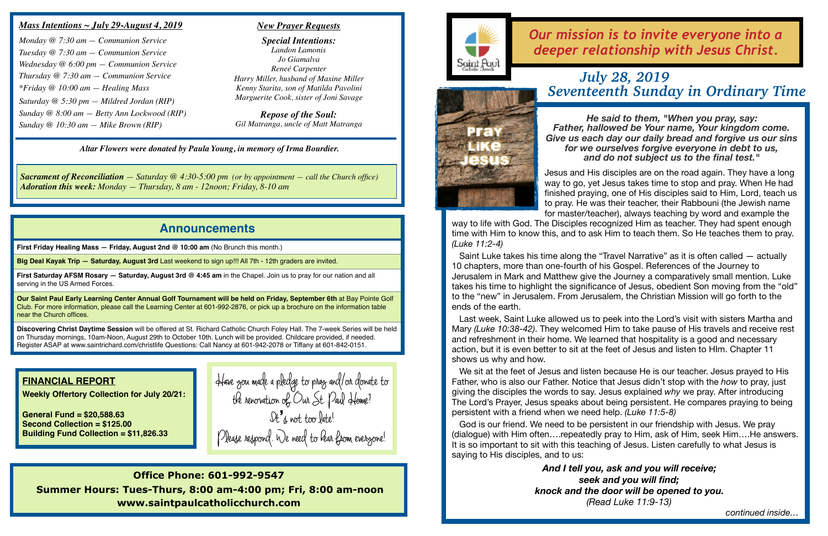### **Announcements**

**First Friday Healing Mass — Friday, August 2nd @ 10:00 am** (No Brunch this month.)

**Big Deal Kayak Trip — Saturday, August 3rd** Last weekend to sign up!!! All 7th - 12th graders are invited.

**First Saturday AFSM Rosary — Saturday, August 3rd @ 4:45 am** in the Chapel. Join us to pray for our nation and all serving in the US Armed Forces.

**Our Saint Paul Early Learning Center Annual Golf Tournament will be held on Friday, September 6th** at Bay Pointe Golf Club. For more information, please call the Learning Center at 601-992-2876, or pick up a brochure on the information table near the Church offices.

**Discovering Christ Daytime Session** will be offered at St. Richard Catholic Church Foley Hall. The 7-week Series will be held on Thursday mornings, 10am-Noon, August 29th to October 10th. Lunch will be provided. Childcare provided, if needed. Register ASAP at [www.saintrichard.com/christlife](http://www.saintrichard.com/christlife) Questions: Call Nancy at 601-942-2078 or Tiffany at 601-842-0151.

## *Our mission is to invite everyone into a deeper relationship with Jesus Christ.*

# 발음기

### *Mass Intentions ~ July 29-August 4, 2019*

*Monday @ 7:30 am — Communion Service Tuesday @ 7:30 am — Communion Service Wednesday @ 6:00 pm — Communion Service Thursday @ 7:30 am — Communion Service \*Friday @ 10:00 am — Healing Mass Saturday @ 5:30 pm — Mildred Jordan (RIP) Sunday @ 8:00 am — Betty Ann Lockwood (RIP) Sunday @ 10:30 am — Mike Brown (RIP)*

*Altar Flowers were donated by Paula Young, in memory of Irma Bourdier.*

#### *New Prayer Requests*

*Special Intentions: Landon Lamonis Jo Giamalva Reneé Carpenter Harry Miller, husband of Maxine Miller Kenny Starita, son of Matilda Pavolini Marguerite Cook, sister of Joni Savage*

*Repose of the Soul: Gil Matranga, uncle of Matt Matranga*

**Office Phone: 601-992-9547 Summer Hours: Tues-Thurs, 8:00 am-4:00 pm; Fri, 8:00 am-noon www.saintpaulcatholicchurch.com**



### **FINANCIAL REPORT**

**Weekly Offertory Collection for July 20/21:** 

**General Fund = \$20,588.63 Second Collection = \$125.00 Building Fund Collection = \$11,826.33**

*Sacrament of Reconciliation — Saturday @ 4:30-5:00 pm (or by appointment — call the Church office) Adoration this week: Monday — Thursday, 8 am - 12noon; Friday, 8-10 am*

### *July 28, 2019 Seventeenth Sunday in Ordinary Time*

*He said to them, "When you pray, say: Father, hallowed be Your name, Your kingdom come. Give us each day our daily bread and forgive us our sins for we ourselves forgive everyone in debt to us, and do not subject us to the final test."*

Jesus and His disciples are on the road again. They have a long way to go, yet Jesus takes time to stop and pray. When He had finished praying, one of His disciples said to Him, Lord, teach us to pray. He was their teacher, their Rabbouni (the Jewish name for master/teacher), always teaching by word and example the

way to life with God. The Disciples recognized Him as teacher. They had spent enough time with Him to know this, and to ask Him to teach them. So He teaches them to pray. *(Luke 11:2-4)*

Saint Luke takes his time along the "Travel Narrative" as it is often called — actually 10 chapters, more than one-fourth of his Gospel. References of the Journey to Jerusalem in Mark and Matthew give the Journey a comparatively small mention. Luke takes his time to highlight the significance of Jesus, obedient Son moving from the "old" to the "new" in Jerusalem. From Jerusalem, the Christian Mission will go forth to the ends of the earth.

Last week, Saint Luke allowed us to peek into the Lord's visit with sisters Martha and Mary *(Luke 10:38-42)*. They welcomed Him to take pause of His travels and receive rest and refreshment in their home. We learned that hospitality is a good and necessary action, but it is even better to sit at the feet of Jesus and listen to HIm. Chapter 11 shows us why and how.

We sit at the feet of Jesus and listen because He is our teacher. Jesus prayed to His Father, who is also our Father. Notice that Jesus didn't stop with the *how* to pray, just giving the disciples the words to say. Jesus explained *why* we pray. After introducing The Lord's Prayer, Jesus speaks about being persistent. He compares praying to being persistent with a friend when we need help. *(Luke 11:5-8)*

God is our friend. We need to be persistent in our friendship with Jesus. We pray (dialogue) with Him often….repeatedly pray to Him, ask of Him, seek Him….He answers. It is so important to sit with this teaching of Jesus. Listen carefully to what Jesus is saying to His disciples, and to us:

> *And I tell you, ask and you will receive; seek and you will find; knock and the door will be opened to you. (Read Luke 11:9-13)*

*continued inside…*

**Have you made a pledge to pray and/or donate to the renovation of Our St. Paul Home? It's not too late! Please respond. We need to hear from everyone!**